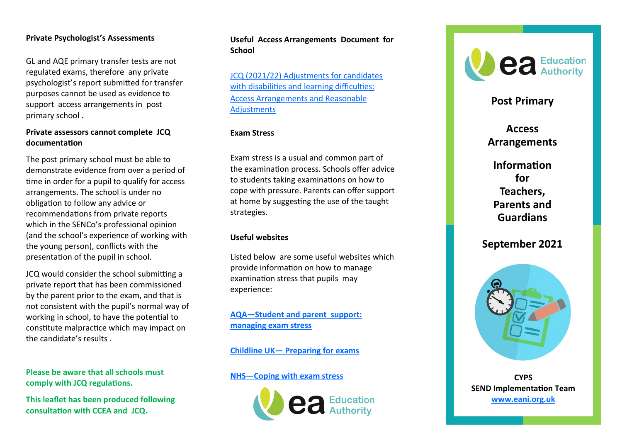# **Private Psychologist 's Assessments**

GL and AQE primary transfer tests are not regulated exams, therefore any private psychologist 's report submitted for transfer purposes cannot be used as evidence to support access arrangements in post primary school .

## **Private assessors cannot complete JCQ documentation**

The post primary school must be able to demonstrate evidence from over a period of time in order for a pupil to qualify for access arrangements. The school is under no obligation to follow any advice or recommendations from private reports which in the SENCo 's professional opinion (and the school 's experience of working with the young person), conflicts with the presentation of the pupil in school.

JCQ would consider the school submitting a private report that has been commissioned by the parent prior to the exam, and that is not consistent with the pupil 's normal way of working in school, to have the potential to constitute malpractice which may impact on the candidate 's results .

**Please be aware that all schools must comply with JCQ regulations.**

**This leaflet has been produced following consultation with CCEA and JCQ.** 

## **Useful Access Arrangements Document for School**

[JCQ \(2021/22\) Adjustments for candidates](https://www.jcq.org.uk/wp-content/uploads/2021/07/AA_regs_21-22.pdf)  [with disabilities and learning difficulties:](https://www.jcq.org.uk/wp-content/uploads/2021/07/AA_regs_21-22.pdf) [Access Arrangements and Reasonable](https://www.jcq.org.uk/wp-content/uploads/2021/07/AA_regs_21-22.pdf)  **[Adjustments](https://www.jcq.org.uk/wp-content/uploads/2021/07/AA_regs_21-22.pdf)** 

## **Exam Stress**

Exam stress is a usual and common part of the examination process. Schools offer advice to students taking examinations on how to cope with pressure. Parents can offer support at home by suggesting the use of the taught strategies.

### **Useful websites**

Listed below are some useful websites which provide information on how to manage examination stress that pupils may experience:

**AQA [—Student and parent support:](https://www.aqa.org.uk/student-and-parent-support/managing-stress)  [managing exam stress](https://www.aqa.org.uk/student-and-parent-support/managing-stress)**

# **Childline UK — [Preparing for exams](https://www.childline.org.uk/info-advice/school-college-and-work/school-college/preparing-exams/)**

## **NHS [—Coping with exam stress](https://www.nhs.uk/conditions/stress-anxiety-depression/coping-with-exam-stress/)**





# **Post Primary**

**Access Arrangements** 

**Information for Teachers, Parents and Guardians**

**September 2021**



**CYPS SEND Implementation Team [www.eani.org.uk](https://www.eani.org.uk/sites/default/files/2018-10/SEN%20Good%20Practice%20Guidelines.pdf)**